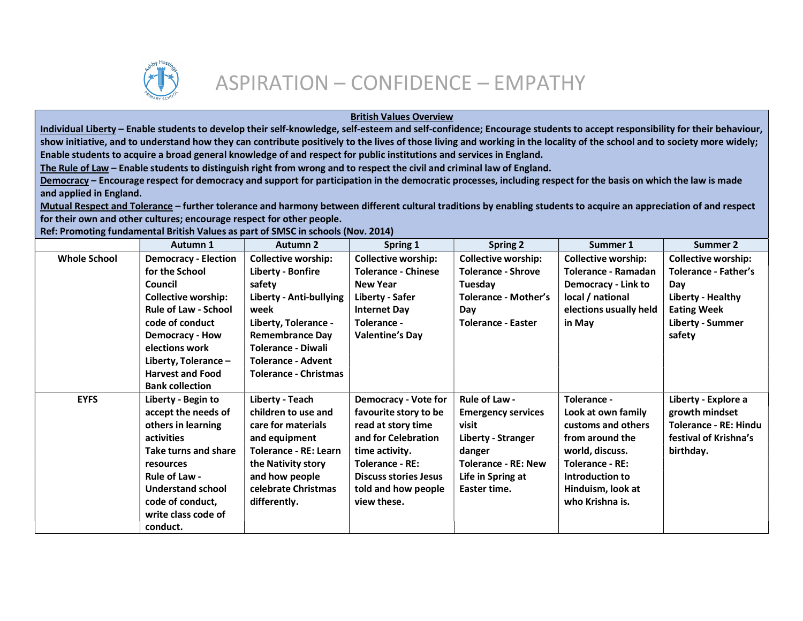

## British Values Overview

Individual Liberty – Enable students to develop their self-knowledge, self-esteem and self-confidence; Encourage students to accept responsibility for their behaviour, show initiative, and to understand how they can contribute positively to the lives of those living and working in the locality of the school and to society more widely; Enable students to acquire a broad general knowledge of and respect for public institutions and services in England.

The Rule of Law – Enable students to distinguish right from wrong and to respect the civil and criminal law of England.

Democracy – Encourage respect for democracy and support for participation in the democratic processes, including respect for the basis on which the law is made and applied in England.

Mutual Respect and Tolerance – further tolerance and harmony between different cultural traditions by enabling students to acquire an appreciation of and respect for their own and other cultures; encourage respect for other people.

Ref: Promoting fundamental British Values as part of SMSC in schools (Nov. 2014)

|                     | Autumn 1                    | Autumn 2                     | Spring 1                     | <b>Spring 2</b>            | Summer 1                   | Summer 2                     |
|---------------------|-----------------------------|------------------------------|------------------------------|----------------------------|----------------------------|------------------------------|
| <b>Whole School</b> | <b>Democracy - Election</b> | <b>Collective worship:</b>   | <b>Collective worship:</b>   | <b>Collective worship:</b> | <b>Collective worship:</b> | <b>Collective worship:</b>   |
|                     | for the School              | <b>Liberty - Bonfire</b>     | <b>Tolerance - Chinese</b>   | <b>Tolerance - Shrove</b>  | Tolerance - Ramadan        | <b>Tolerance - Father's</b>  |
|                     | Council                     | safety                       | <b>New Year</b>              | Tuesday                    | <b>Democracy - Link to</b> | Day                          |
|                     | <b>Collective worship:</b>  | Liberty - Anti-bullying      | Liberty - Safer              | Tolerance - Mother's       | local / national           | Liberty - Healthy            |
|                     | <b>Rule of Law - School</b> | week                         | <b>Internet Day</b>          | Day                        | elections usually held     | <b>Eating Week</b>           |
|                     | code of conduct             | Liberty, Tolerance -         | Tolerance -                  | <b>Tolerance - Easter</b>  | in May                     | <b>Liberty - Summer</b>      |
|                     | <b>Democracy - How</b>      | <b>Remembrance Day</b>       | <b>Valentine's Day</b>       |                            |                            | safety                       |
|                     | elections work              | <b>Tolerance - Diwali</b>    |                              |                            |                            |                              |
|                     | Liberty, Tolerance -        | <b>Tolerance - Advent</b>    |                              |                            |                            |                              |
|                     | <b>Harvest and Food</b>     | <b>Tolerance - Christmas</b> |                              |                            |                            |                              |
|                     | <b>Bank collection</b>      |                              |                              |                            |                            |                              |
| <b>EYFS</b>         | Liberty - Begin to          | Liberty - Teach              | <b>Democracy - Vote for</b>  | Rule of Law -              | Tolerance -                | Liberty - Explore a          |
|                     | accept the needs of         | children to use and          | favourite story to be        | <b>Emergency services</b>  | Look at own family         | growth mindset               |
|                     | others in learning          | care for materials           | read at story time           | visit                      | customs and others         | <b>Tolerance - RE: Hindu</b> |
|                     | activities                  | and equipment                | and for Celebration          | Liberty - Stranger         | from around the            | festival of Krishna's        |
|                     | Take turns and share        | <b>Tolerance - RE: Learn</b> | time activity.               | danger                     | world, discuss.            | birthday.                    |
|                     | resources                   | the Nativity story           | <b>Tolerance - RE:</b>       | <b>Tolerance - RE: New</b> | <b>Tolerance - RE:</b>     |                              |
|                     | Rule of Law -               | and how people               | <b>Discuss stories Jesus</b> | Life in Spring at          | Introduction to            |                              |
|                     | <b>Understand school</b>    | celebrate Christmas          | told and how people          | Easter time.               | Hinduism, look at          |                              |
|                     | code of conduct,            | differently.                 | view these.                  |                            | who Krishna is.            |                              |
|                     | write class code of         |                              |                              |                            |                            |                              |
|                     | conduct.                    |                              |                              |                            |                            |                              |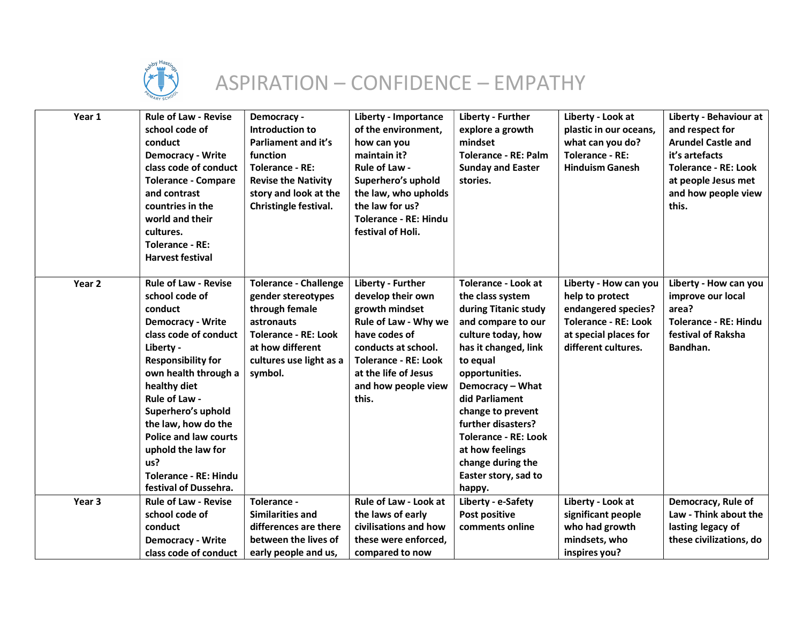

## ASPIRATION – CONFIDENCE – EMPATHY

| Year 1            | <b>Rule of Law - Revise</b><br>school code of<br>conduct<br><b>Democracy - Write</b><br>class code of conduct<br><b>Tolerance - Compare</b><br>and contrast<br>countries in the<br>world and their<br>cultures.<br><b>Tolerance - RE:</b><br><b>Harvest festival</b>                                                                                                                | Democracy -<br>Introduction to<br>Parliament and it's<br>function<br><b>Tolerance - RE:</b><br><b>Revise the Nativity</b><br>story and look at the<br>Christingle festival. | <b>Liberty - Importance</b><br>of the environment,<br>how can you<br>maintain it?<br>Rule of Law -<br>Superhero's uphold<br>the law, who upholds<br>the law for us?<br><b>Tolerance - RE: Hindu</b><br>festival of Holi. | Liberty - Further<br>explore a growth<br>mindset<br><b>Tolerance - RE: Palm</b><br><b>Sunday and Easter</b><br>stories.                                                                                                                                                                                                                                            | Liberty - Look at<br>plastic in our oceans,<br>what can you do?<br><b>Tolerance - RE:</b><br><b>Hinduism Ganesh</b>                            | Liberty - Behaviour at<br>and respect for<br><b>Arundel Castle and</b><br>it's artefacts<br><b>Tolerance - RE: Look</b><br>at people Jesus met<br>and how people view<br>this. |
|-------------------|-------------------------------------------------------------------------------------------------------------------------------------------------------------------------------------------------------------------------------------------------------------------------------------------------------------------------------------------------------------------------------------|-----------------------------------------------------------------------------------------------------------------------------------------------------------------------------|--------------------------------------------------------------------------------------------------------------------------------------------------------------------------------------------------------------------------|--------------------------------------------------------------------------------------------------------------------------------------------------------------------------------------------------------------------------------------------------------------------------------------------------------------------------------------------------------------------|------------------------------------------------------------------------------------------------------------------------------------------------|--------------------------------------------------------------------------------------------------------------------------------------------------------------------------------|
| Year <sub>2</sub> | <b>Rule of Law - Revise</b><br>school code of<br>conduct<br><b>Democracy - Write</b><br>class code of conduct<br>Liberty -<br><b>Responsibility for</b><br>own health through a<br>healthy diet<br>Rule of Law -<br>Superhero's uphold<br>the law, how do the<br><b>Police and law courts</b><br>uphold the law for<br>us?<br><b>Tolerance - RE: Hindu</b><br>festival of Dussehra. | <b>Tolerance - Challenge</b><br>gender stereotypes<br>through female<br>astronauts<br><b>Tolerance - RE: Look</b><br>at how different<br>cultures use light as a<br>symbol. | Liberty - Further<br>develop their own<br>growth mindset<br>Rule of Law - Why we<br>have codes of<br>conducts at school.<br><b>Tolerance - RE: Look</b><br>at the life of Jesus<br>and how people view<br>this.          | <b>Tolerance - Look at</b><br>the class system<br>during Titanic study<br>and compare to our<br>culture today, how<br>has it changed, link<br>to equal<br>opportunities.<br>Democracy - What<br>did Parliament<br>change to prevent<br>further disasters?<br><b>Tolerance - RE: Look</b><br>at how feelings<br>change during the<br>Easter story, sad to<br>happy. | Liberty - How can you<br>help to protect<br>endangered species?<br><b>Tolerance - RE: Look</b><br>at special places for<br>different cultures. | Liberty - How can you<br>improve our local<br>area?<br><b>Tolerance - RE: Hindu</b><br>festival of Raksha<br>Bandhan.                                                          |
| Year <sub>3</sub> | <b>Rule of Law - Revise</b><br>school code of<br>conduct<br><b>Democracy - Write</b>                                                                                                                                                                                                                                                                                                | Tolerance -<br><b>Similarities and</b><br>differences are there<br>between the lives of                                                                                     | <b>Rule of Law - Look at</b><br>the laws of early<br>civilisations and how<br>these were enforced,                                                                                                                       | Liberty - e-Safety<br>Post positive<br>comments online                                                                                                                                                                                                                                                                                                             | Liberty - Look at<br>significant people<br>who had growth<br>mindsets, who                                                                     | Democracy, Rule of<br>Law - Think about the<br>lasting legacy of<br>these civilizations, do                                                                                    |
|                   | class code of conduct                                                                                                                                                                                                                                                                                                                                                               | early people and us,                                                                                                                                                        | compared to now                                                                                                                                                                                                          |                                                                                                                                                                                                                                                                                                                                                                    | inspires you?                                                                                                                                  |                                                                                                                                                                                |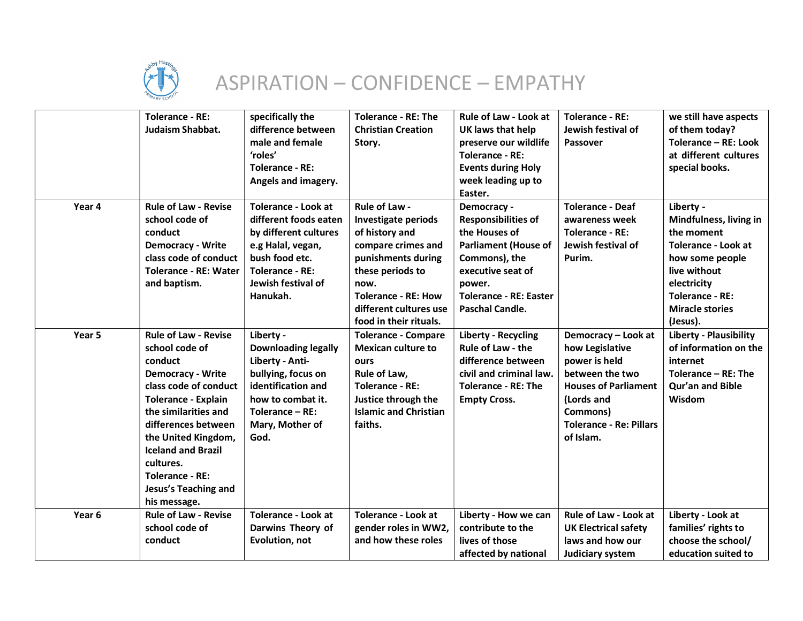

## ASPIRATION – CONFIDENCE – EMPATHY

|                   | <b>Tolerance - RE:</b><br>Judaism Shabbat.                                                                                                                                                                                                                                                                                           | specifically the<br>difference between<br>male and female<br>'roles'<br><b>Tolerance - RE:</b><br>Angels and imagery.                                                           | <b>Tolerance - RE: The</b><br><b>Christian Creation</b><br>Story.                                                                                                                                                | <b>Rule of Law - Look at</b><br>UK laws that help<br>preserve our wildlife<br><b>Tolerance - RE:</b><br><b>Events during Holy</b><br>week leading up to<br>Easter.                            | <b>Tolerance - RE:</b><br>Jewish festival of<br><b>Passover</b>                                                                                                                    | we still have aspects<br>of them today?<br>Tolerance - RE: Look<br>at different cultures<br>special books.                                                                                 |
|-------------------|--------------------------------------------------------------------------------------------------------------------------------------------------------------------------------------------------------------------------------------------------------------------------------------------------------------------------------------|---------------------------------------------------------------------------------------------------------------------------------------------------------------------------------|------------------------------------------------------------------------------------------------------------------------------------------------------------------------------------------------------------------|-----------------------------------------------------------------------------------------------------------------------------------------------------------------------------------------------|------------------------------------------------------------------------------------------------------------------------------------------------------------------------------------|--------------------------------------------------------------------------------------------------------------------------------------------------------------------------------------------|
| Year 4            | <b>Rule of Law - Revise</b><br>school code of<br>conduct<br><b>Democracy - Write</b><br>class code of conduct<br><b>Tolerance - RE: Water</b><br>and baptism.                                                                                                                                                                        | <b>Tolerance - Look at</b><br>different foods eaten<br>by different cultures<br>e.g Halal, vegan,<br>bush food etc.<br><b>Tolerance - RE:</b><br>Jewish festival of<br>Hanukah. | Rule of Law -<br>Investigate periods<br>of history and<br>compare crimes and<br>punishments during<br>these periods to<br>now.<br><b>Tolerance - RE: How</b><br>different cultures use<br>food in their rituals. | Democracy -<br><b>Responsibilities of</b><br>the Houses of<br><b>Parliament (House of</b><br>Commons), the<br>executive seat of<br>power.<br><b>Tolerance - RE: Easter</b><br>Paschal Candle. | <b>Tolerance - Deaf</b><br>awareness week<br><b>Tolerance - RE:</b><br>Jewish festival of<br>Purim.                                                                                | Liberty -<br>Mindfulness, living in<br>the moment<br>Tolerance - Look at<br>how some people<br>live without<br>electricity<br><b>Tolerance - RE:</b><br><b>Miracle stories</b><br>(Jesus). |
| Year <sub>5</sub> | <b>Rule of Law - Revise</b><br>school code of<br>conduct<br><b>Democracy - Write</b><br>class code of conduct<br><b>Tolerance - Explain</b><br>the similarities and<br>differences between<br>the United Kingdom,<br><b>Iceland and Brazil</b><br>cultures.<br><b>Tolerance - RE:</b><br><b>Jesus's Teaching and</b><br>his message. | Liberty -<br><b>Downloading legally</b><br>Liberty - Anti-<br>bullying, focus on<br>identification and<br>how to combat it.<br>Tolerance - RE:<br>Mary, Mother of<br>God.       | <b>Tolerance - Compare</b><br><b>Mexican culture to</b><br>ours<br>Rule of Law,<br><b>Tolerance - RE:</b><br>Justice through the<br><b>Islamic and Christian</b><br>faiths.                                      | <b>Liberty - Recycling</b><br><b>Rule of Law - the</b><br>difference between<br>civil and criminal law.<br><b>Tolerance - RE: The</b><br><b>Empty Cross.</b>                                  | Democracy - Look at<br>how Legislative<br>power is held<br>between the two<br><b>Houses of Parliament</b><br>(Lords and<br>Commons)<br><b>Tolerance - Re: Pillars</b><br>of Islam. | <b>Liberty - Plausibility</b><br>of information on the<br>internet<br>Tolerance $-$ RE: The<br>Qur'an and Bible<br>Wisdom                                                                  |
| Year <sub>6</sub> | <b>Rule of Law - Revise</b><br>school code of<br>conduct                                                                                                                                                                                                                                                                             | <b>Tolerance - Look at</b><br>Darwins Theory of<br>Evolution, not                                                                                                               | <b>Tolerance - Look at</b><br>gender roles in WW2,<br>and how these roles                                                                                                                                        | Liberty - How we can<br>contribute to the<br>lives of those<br>affected by national                                                                                                           | Rule of Law - Look at<br><b>UK Electrical safety</b><br>laws and how our<br>Judiciary system                                                                                       | Liberty - Look at<br>families' rights to<br>choose the school/<br>education suited to                                                                                                      |